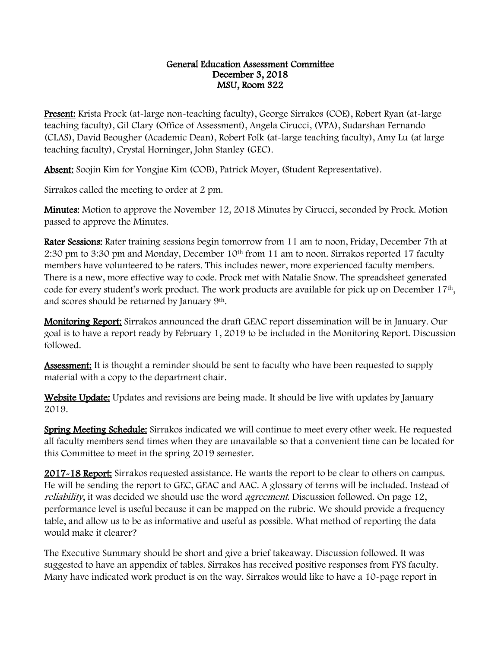## General Education Assessment Committee December 3, 2018 MSU, Room 322

Present: Krista Prock (at-large non-teaching faculty), George Sirrakos (COE), Robert Ryan (at-large teaching faculty), Gil Clary (Office of Assessment), Angela Cirucci, (VPA), Sudarshan Fernando (CLAS), David Beougher (Academic Dean), Robert Folk (at-large teaching faculty), Amy Lu (at large teaching faculty), Crystal Horninger, John Stanley (GEC).

Absent: Soojin Kim for Yongjae Kim (COB), Patrick Moyer, (Student Representative).

Sirrakos called the meeting to order at 2 pm.

**Minutes:** Motion to approve the November 12, 2018 Minutes by Cirucci, seconded by Prock. Motion passed to approve the Minutes.

Rater Sessions: Rater training sessions begin tomorrow from 11 am to noon, Friday, December 7th at 2:30 pm to 3:30 pm and Monday, December 10<sup>th</sup> from 11 am to noon. Sirrakos reported 17 faculty members have volunteered to be raters. This includes newer, more experienced faculty members. There is a new, more effective way to code. Prock met with Natalie Snow. The spreadsheet generated code for every student's work product. The work products are available for pick up on December 17<sup>th</sup>, and scores should be returned by January 9th.

Monitoring Report: Sirrakos announced the draft GEAC report dissemination will be in January. Our goal is to have a report ready by February 1, 2019 to be included in the Monitoring Report. Discussion followed.

Assessment: It is thought a reminder should be sent to faculty who have been requested to supply material with a copy to the department chair.

Website Update: Updates and revisions are being made. It should be live with updates by January 2019.

Spring Meeting Schedule: Sirrakos indicated we will continue to meet every other week. He requested all faculty members send times when they are unavailable so that a convenient time can be located for this Committee to meet in the spring 2019 semester.

2017-18 Report: Sirrakos requested assistance. He wants the report to be clear to others on campus. He will be sending the report to GEC, GEAC and AAC. A glossary of terms will be included. Instead of reliability, it was decided we should use the word agreement. Discussion followed. On page 12, performance level is useful because it can be mapped on the rubric. We should provide a frequency table, and allow us to be as informative and useful as possible. What method of reporting the data would make it clearer?

The Executive Summary should be short and give a brief takeaway. Discussion followed. It was suggested to have an appendix of tables. Sirrakos has received positive responses from FYS faculty. Many have indicated work product is on the way. Sirrakos would like to have a 10-page report in